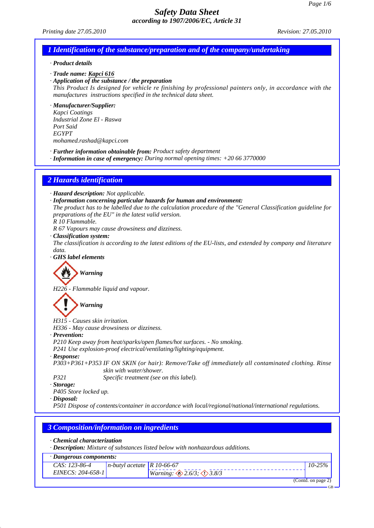*Printing date 27.05.2010 Revision: 27.05.2010*

### *1 Identification of the substance/preparation and of the company/undertaking*

#### *· Product details*

*· Trade name: Kapci 616*

*· Application of the substance / the preparation*

*This Product Is designed for vehicle re finishing by professional painters only, in accordance with the manufactures instructions specified in the technical data sheet.*

## *· Manufacturer/Supplier:*

*Kapci Coatings Industrial Zone El - Raswa Port Said EGYPT mohamed.rashad@kapci.com*

*· Further information obtainable from: Product safety department*

*· Information in case of emergency: During normal opening times: +20 66 3770000*

### *2 Hazards identification*

*· Hazard description: Not applicable.*

- *· Information concerning particular hazards for human and environment:*
- *The product has to be labelled due to the calculation procedure of the "General Classification guideline for preparations of the EU" in the latest valid version.*

*R 10 Flammable.*

*R 67 Vapours may cause drowsiness and dizziness.*

*· Classification system:*

*The classification is according to the latest editions of the EU-lists, and extended by company and literature data.*

*· GHS label elements*

*Warning*

*H226 - Flammable liquid and vapour.*

*Warning*

*H315 - Causes skin irritation.*

*H336 - May cause drowsiness or dizziness.*

- *· Prevention:*
- *P210 Keep away from heat/sparks/open flames/hot surfaces. No smoking.*
- *P241 Use explosion-proof electrical/ventilating/lighting/equipment.*
- *· Response:*

*P303+P361+P353 IF ON SKIN (or hair): Remove/Take off immediately all contaminated clothing. Rinse skin with water/shower.*

*P321 Specific treatment (see on this label).*

*· Storage:*

*P405 Store locked up.*

*· Disposal:*

*P501 Dispose of contents/container in accordance with local/regional/national/international regulations.*

## *3 Composition/information on ingredients*

### *· Chemical characterization*

*· Description: Mixture of substances listed below with nonhazardous additions.*

| · Dangerous components:               |                              |                                                  |            |  |
|---------------------------------------|------------------------------|--------------------------------------------------|------------|--|
| CAS: 123-86-4                         | n-butyl acetate   R 10-66-67 |                                                  | $10 - 25%$ |  |
| EINECS: 204-658-1                     |                              | <i>Warning:</i> $\otimes$ 2.6/3; $\otimes$ 3.8/3 |            |  |
| $\sim$<br>$\sim$ $\sim$ $\sim$ $\sim$ |                              |                                                  |            |  |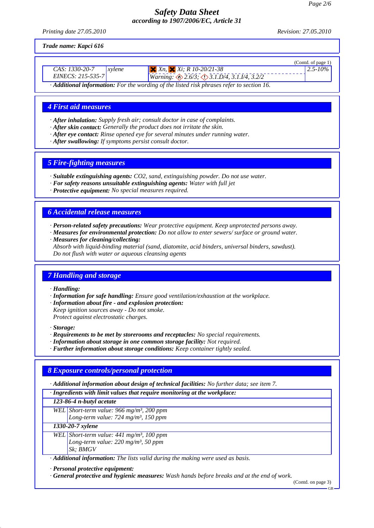*Printing date 27.05.2010 Revision: 27.05.2010*

*Trade name: Kapci 616*

|                                                                                                                                                                                                                                                                                                                                                                                               |                                                                    | (Contd. of page $1$ ) |  |
|-----------------------------------------------------------------------------------------------------------------------------------------------------------------------------------------------------------------------------------------------------------------------------------------------------------------------------------------------------------------------------------------------|--------------------------------------------------------------------|-----------------------|--|
| CAS: 1330-20-7<br><i>svlene</i>                                                                                                                                                                                                                                                                                                                                                               | $X_n$ , $X_i$ ; R 10-20/21-38                                      | $2.5 - 10\%$          |  |
| EINECS: 215-535-7                                                                                                                                                                                                                                                                                                                                                                             | <i>Warning:</i> $\otimes$ 2.6/3; $\otimes$ 3.1.D/4, 3.1.I/4, 3.2/2 |                       |  |
| $\lambda$ , $\lambda$ , $\lambda$ , $\lambda$ , $\lambda$ , $\lambda$ , $\lambda$ , $\lambda$ , $\lambda$ , $\lambda$ , $\lambda$ , $\lambda$ , $\lambda$ , $\lambda$ , $\lambda$ , $\lambda$ , $\lambda$ , $\lambda$ , $\lambda$ , $\lambda$ , $\lambda$ , $\lambda$ , $\lambda$ , $\lambda$ , $\lambda$ , $\lambda$ , $\lambda$ , $\lambda$ , $\lambda$ , $\lambda$ , $\lambda$ , $\lambda$ |                                                                    |                       |  |

*· Additional information: For the wording of the listed risk phrases refer to section 16.*

### *4 First aid measures*

- *· After inhalation: Supply fresh air; consult doctor in case of complaints.*
- *· After skin contact: Generally the product does not irritate the skin.*
- *· After eye contact: Rinse opened eye for several minutes under running water.*
- *· After swallowing: If symptoms persist consult doctor.*

### *5 Fire-fighting measures*

- *· Suitable extinguishing agents: CO2, sand, extinguishing powder. Do not use water.*
- *· For safety reasons unsuitable extinguishing agents: Water with full jet*
- *· Protective equipment: No special measures required.*

### *6 Accidental release measures*

*· Person-related safety precautions: Wear protective equipment. Keep unprotected persons away.*

- *· Measures for environmental protection: Do not allow to enter sewers/ surface or ground water.*
- *· Measures for cleaning/collecting:*

*Absorb with liquid-binding material (sand, diatomite, acid binders, universal binders, sawdust). Do not flush with water or aqueous cleansing agents*

### *7 Handling and storage*

*· Handling:*

- *· Information for safe handling: Ensure good ventilation/exhaustion at the workplace.*
- *· Information about fire and explosion protection:*
- *Keep ignition sources away Do not smoke. Protect against electrostatic charges.*

*· Storage:*

- *· Requirements to be met by storerooms and receptacles: No special requirements.*
- *· Information about storage in one common storage facility: Not required.*
- *· Further information about storage conditions: Keep container tightly sealed.*

## *8 Exposure controls/personal protection*

*· Additional information about design of technical facilities: No further data; see item 7.*

*· Ingredients with limit values that require monitoring at the workplace:*

#### *123-86-4 n-butyl acetate*

*WEL Short-term value: 966 mg/m³, 200 ppm*

*Long-term value: 724 mg/m³, 150 ppm*

*1330-20-7 xylene*

*WEL Short-term value: 441 mg/m³, 100 ppm Long-term value: 220 mg/m³, 50 ppm Sk; BMGV*

*· Additional information: The lists valid during the making were used as basis.*

*· Personal protective equipment:*

*· General protective and hygienic measures: Wash hands before breaks and at the end of work.*

(Contd. on page 3)

GB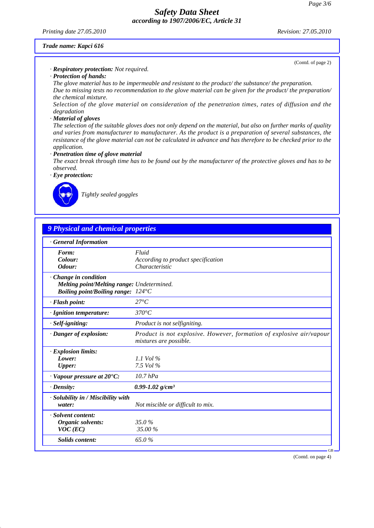*Printing date 27.05.2010 Revision: 27.05.2010*

(Contd. of page 2)

#### *Trade name: Kapci 616*

*· Respiratory protection: Not required.*

*· Protection of hands:*

*The glove material has to be impermeable and resistant to the product/ the substance/ the preparation. Due to missing tests no recommendation to the glove material can be given for the product/ the preparation/ the chemical mixture.*

*Selection of the glove material on consideration of the penetration times, rates of diffusion and the degradation*

#### *· Material of gloves*

*The selection of the suitable gloves does not only depend on the material, but also on further marks of quality and varies from manufacturer to manufacturer. As the product is a preparation of several substances, the resistance of the glove material can not be calculated in advance and has therefore to be checked prior to the application.*

#### *· Penetration time of glove material*

*The exact break through time has to be found out by the manufacturer of the protective gloves and has to be observed.*

*· Eye protection:*



*Tightly sealed goggles*

## *9 Physical and chemical properties*

| <b>General Information</b>                                  |                                                                                                |
|-------------------------------------------------------------|------------------------------------------------------------------------------------------------|
| Form:                                                       | Fluid                                                                                          |
| Colour:                                                     | According to product specification                                                             |
| Odour:                                                      | Characteristic                                                                                 |
| Change in condition                                         |                                                                                                |
| Melting point/Melting range: Undetermined.                  |                                                                                                |
| <i>Boiling point/Boiling range:</i> $124^{\circ}$ C         |                                                                                                |
| · Flash point:                                              | $27^{\circ}C$                                                                                  |
| · Ignition temperature:                                     | $370^{\circ}C$                                                                                 |
| · Self-igniting:                                            | Product is not selfigniting.                                                                   |
| · Danger of explosion:                                      | Product is not explosive. However, formation of explosive air/vapour<br>mixtures are possible. |
| · Explosion limits:                                         |                                                                                                |
| Lower:                                                      | 1.1 Vol $\%$                                                                                   |
| Upper:                                                      | 7.5 Vol $\%$                                                                                   |
| $\cdot$ Vapour pressure at 20 $\rm ^{\bullet}C\rm ^{\cdot}$ | $10.7$ hPa                                                                                     |
| $\cdot$ Density:                                            | $0.99 - 1.02$ g/cm <sup>3</sup>                                                                |
| · Solubility in / Miscibility with                          |                                                                                                |
| water:                                                      | Not miscible or difficult to mix.                                                              |
| · Solvent content:                                          |                                                                                                |
| Organic solvents:                                           | 35.0%                                                                                          |
| $VOC$ (EC)                                                  | 35.00 %                                                                                        |
|                                                             |                                                                                                |

(Contd. on page 4)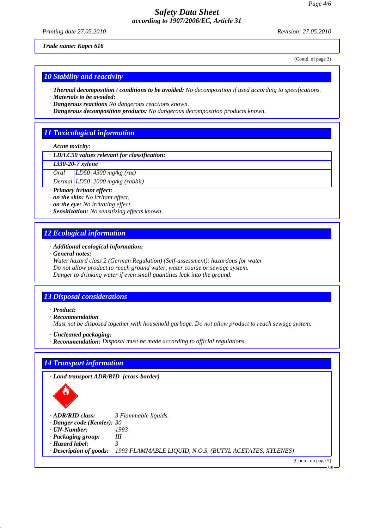*Printing date 27.05.2010 Revision: 27.05.2010*

(Contd. of page 3)

*Trade name: Kapci 616*

*10 Stability and reactivity*

*· Thermal decomposition / conditions to be avoided: No decomposition if used according to specifications.*

*· Materials to be avoided:*

*· Dangerous reactions No dangerous reactions known.*

*· Dangerous decomposition products: No dangerous decomposition products known.*

# *11 Toxicological information*

*· Acute toxicity:*

*· LD/LC50 values relevant for classification:*

*1330-20-7 xylene*

*Oral LD50 4300 mg/kg (rat)*

*Dermal LD50 2000 mg/kg (rabbit)*

*· Primary irritant effect:*

*· on the skin: No irritant effect.*

*· on the eye: No irritating effect.*

*· Sensitization: No sensitizing effects known.*

### *12 Ecological information*

### *· Additional ecological information:*

*· General notes:*

*Water hazard class 2 (German Regulation) (Self-assessment): hazardous for water Do not allow product to reach ground water, water course or sewage system. Danger to drinking water if even small quantities leak into the ground.*

### *13 Disposal considerations*

*· Product:*

*· Recommendation*

*Must not be disposed together with household garbage. Do not allow product to reach sewage system.*

*· Uncleaned packaging:*

*· Recommendation: Disposal must be made according to official regulations.*

### *14 Transport information*

*· Land transport ADR/RID (cross-border)*



*· ADR/RID class: 3 Flammable liquids.*

*· Danger code (Kemler): 30*

*· UN-Number: 1993*

*· Packaging group: III · Hazard label: 3* 

*· Description of goods: 1993 FLAMMABLE LIQUID, N.O.S. (BUTYL ACETATES, XYLENES)*

(Contd. on page 5)

GB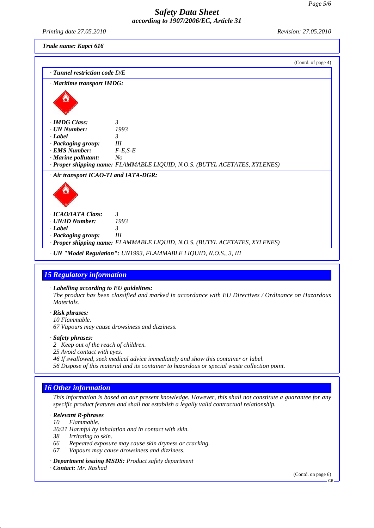*Printing date 27.05.2010 Revision: 27.05.2010 Trade name: Kapci 616* (Contd. of page 4) *· Tunnel restriction code D/E · Maritime transport IMDG: · IMDG Class: 3*   $\cdot$  *UN Number: <i>·* **Label** 3<br>*· Packaging group:* III *<i>· Packaging group: III*<br>*· FMS Number: P - F - F - F - F - F - F - F - F - F - F - F - F - F - F - F - F - F - F - F - F - F - F - F - F - F - F - F - F - · EMS Number: · Marine pollutant: No · Proper shipping name: FLAMMABLE LIQUID, N.O.S. (BUTYL ACETATES, XYLENES) · Air transport ICAO-TI and IATA-DGR: · ICAO/IATA Class: 3 · UN/ID Number: 1993 · Label 3 · Packaging group: III · Proper shipping name: FLAMMABLE LIQUID, N.O.S. (BUTYL ACETATES, XYLENES) · UN "Model Regulation": UN1993, FLAMMABLE LIQUID, N.O.S., 3, III 15 Regulatory information · Labelling according to EU guidelines: The product has been classified and marked in accordance with EU Directives / Ordinance on Hazardous Materials. · Risk phrases: 10 Flammable. 67 Vapours may cause drowsiness and dizziness. · Safety phrases: 2 Keep out of the reach of children. 25 Avoid contact with eyes. 46 If swallowed, seek medical advice immediately and show this container or label. 56 Dispose of this material and its container to hazardous or special waste collection point. 16 Other information This information is based on our present knowledge. However, this shall not constitute a guarantee for any specific product features and shall not establish a legally valid contractual relationship.*

#### *· Relevant R-phrases*

- *10 Flammable.*
- *20/21 Harmful by inhalation and in contact with skin.*
- *38 Irritating to skin.*
- *66 Repeated exposure may cause skin dryness or cracking.*
- *67 Vapours may cause drowsiness and dizziness.*
- *· Department issuing MSDS: Product safety department*
- *· Contact: Mr. Rashad*

(Contd. on page 6)

GB